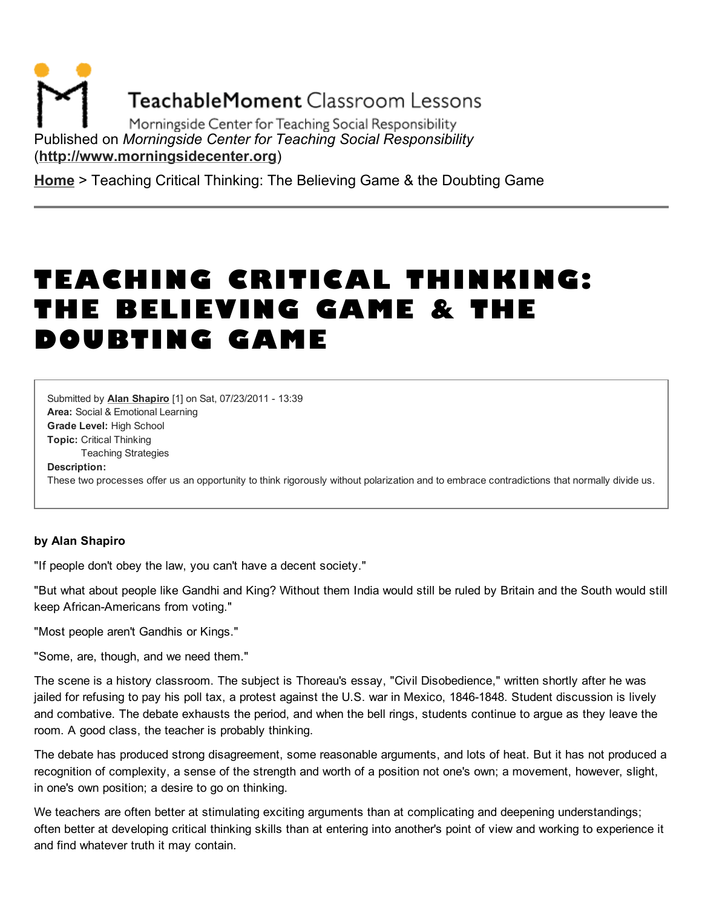**TeachableMoment Classroom Lessons** 

Morningside Center for Teaching Social Responsibility Published on *Morningside Center for Teaching Social Responsibility* [\(http://www.morningsidecenter.org\)](http://www.morningsidecenter.org/)

[Home](http://www.morningsidecenter.org/) > Teaching Critical Thinking: The Believing Game & the Doubting Game

# TEACHING CRITICAL THINKING: THE BELIEVING GAME & THE DOUBTING GAME

Area: Social & Emotional Learning Grade Level: High School Topic: Critical Thinking Teaching Strategies Submitted by Alan [Shapiro](http://www.morningsidecenter.org/users/alan-shapiro) [1] on Sat, 07/23/2011 - 13:39 Description: These two processes offer us an opportunity to think rigorously without polarization and to embrace contradictions that normally divide us.

#### by Alan Shapiro

"If people don't obey the law, you can't have a decent society."

"But what about people like Gandhi and King? Without them India would still be ruled by Britain and the South would still keep African-Americans from voting."

"Most people aren't Gandhis or Kings."

"Some, are, though, and we need them."

The scene is a history classroom. The subject is Thoreau's essay, "Civil Disobedience," written shortly after he was jailed for refusing to pay his poll tax, a protest against the U.S. war in Mexico, 1846-1848. Student discussion is lively and combative. The debate exhausts the period, and when the bell rings, students continue to argue as they leave the room. A good class, the teacher is probably thinking.

The debate has produced strong disagreement, some reasonable arguments, and lots of heat. But it has not produced a recognition of complexity, a sense of the strength and worth of a position not one's own; a movement, however, slight, in one's own position; a desire to go on thinking.

We teachers are often better at stimulating exciting arguments than at complicating and deepening understandings; often better at developing critical thinking skills than at entering into another's point of view and working to experience it and find whatever truth it may contain.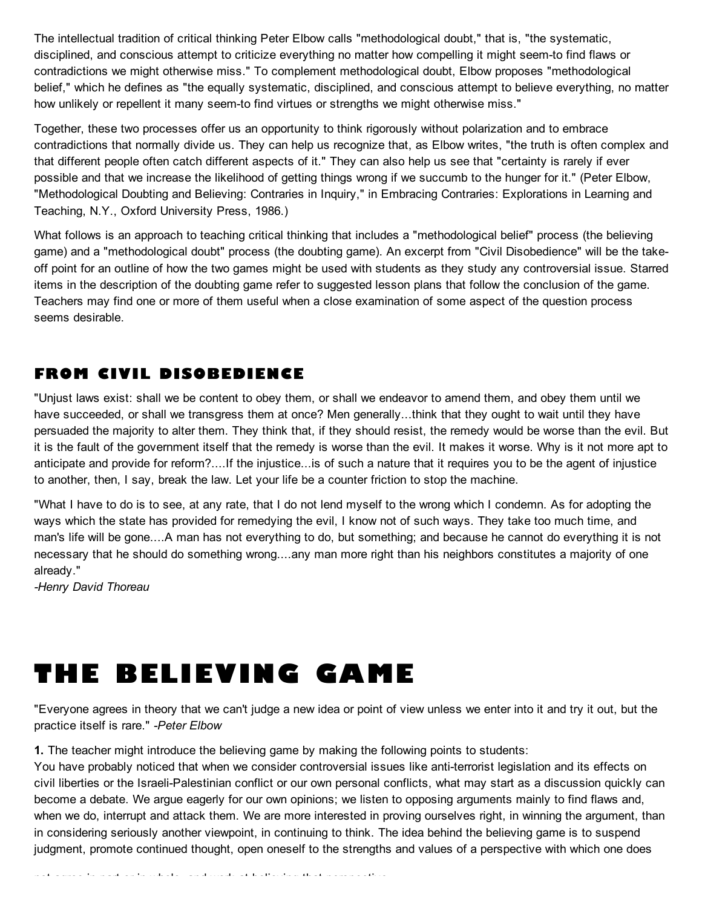The intellectual tradition of critical thinking Peter Elbow calls "methodological doubt," that is, "the systematic, disciplined, and conscious attempt to criticize everything no matter how compelling it might seem-to find flaws or contradictions we might otherwise miss." To complement methodological doubt, Elbow proposes "methodological belief," which he defines as "the equally systematic, disciplined, and conscious attempt to believe everything, no matter how unlikely or repellent it many seem-to find virtues or strengths we might otherwise miss."

Together, these two processes offer us an opportunity to think rigorously without polarization and to embrace contradictions that normally divide us. They can help us recognize that, as Elbow writes, "the truth is often complex and that different people often catch different aspects of it." They can also help us see that "certainty is rarely if ever possible and that we increase the likelihood of getting things wrong if we succumb to the hunger for it." (Peter Elbow, "Methodological Doubting and Believing: Contraries in Inquiry," in Embracing Contraries: Explorations in Learning and Teaching, N.Y., Oxford University Press, 1986.)

What follows is an approach to teaching critical thinking that includes a "methodological belief" process (the believing game) and a "methodological doubt" process (the doubting game). An excerpt from "Civil Disobedience" will be the takeoff point for an outline of how the two games might be used with students as they study any controversial issue. Starred items in the description of the doubting game refer to suggested lesson plans that follow the conclusion of the game. Teachers may find one or more of them useful when a close examination of some aspect of the question process seems desirable.

### FROM CIVIL DISOBEDIENCE

"Unjust laws exist: shall we be content to obey them, or shall we endeavor to amend them, and obey them until we have succeeded, or shall we transgress them at once? Men generally...think that they ought to wait until they have persuaded the majority to alter them. They think that, if they should resist, the remedy would be worse than the evil. But it is the fault of the government itself that the remedy is worse than the evil. It makes it worse. Why is it not more apt to anticipate and provide for reform?....If the injustice...is of such a nature that it requires you to be the agent of injustice to another, then, I say, break the law. Let your life be a counter friction to stop the machine.

"What I have to do is to see, at any rate, that I do not lend myself to the wrong which I condemn. As for adopting the ways which the state has provided for remedying the evil, I know not of such ways. They take too much time, and man's life will be gone....A man has not everything to do, but something; and because he cannot do everything it is not necessary that he should do something wrong....any man more right than his neighbors constitutes a majority of one already."

*-Henry David Thoreau*

# THE BELIEVING GAME

"Everyone agrees in theory that we can't judge a new idea or point of view unless we enter into it and try it out, but the practice itself is rare." *-Peter Elbow*

1. The teacher might introduce the believing game by making the following points to students:

You have probably noticed that when we consider controversial issues like anti-terrorist legislation and its effects on civil liberties or the Israeli-Palestinian conflict or our own personal conflicts, what may start as a discussion quickly can become a debate. We argue eagerly for our own opinions; we listen to opposing arguments mainly to find flaws and, when we do, interrupt and attack them. We are more interested in proving ourselves right, in winning the argument, than in considering seriously another viewpoint, in continuing to think. The idea behind the believing game is to suspend judgment, promote continued thought, open oneself to the strengths and values of a perspective with which one does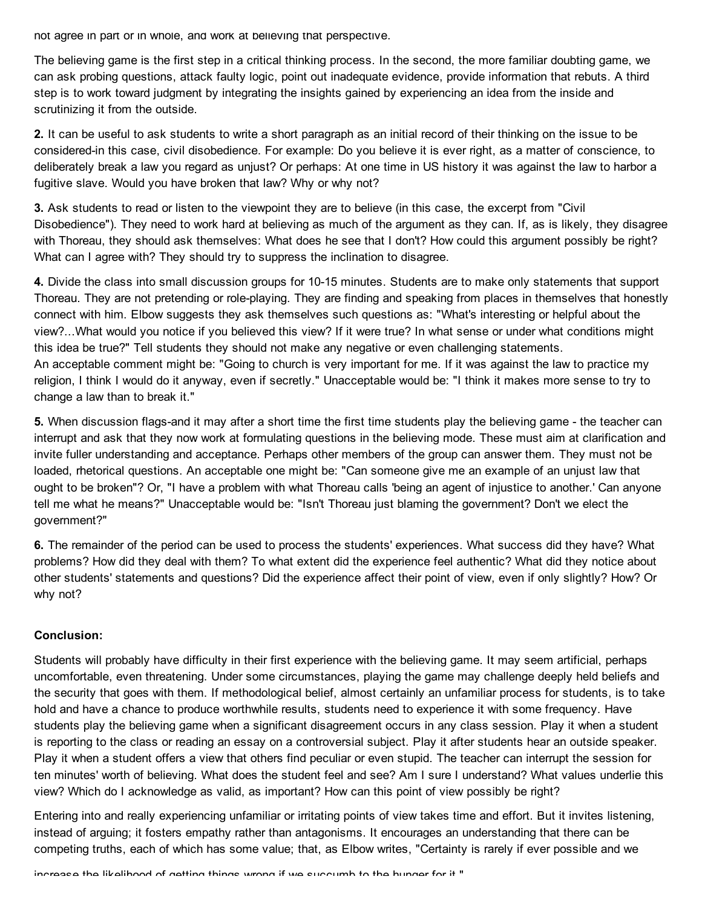not agree in part or in whole, and work at believing that perspective.

The believing game is the first step in a critical thinking process. In the second, the more familiar doubting game, we can ask probing questions, attack faulty logic, point out inadequate evidence, provide information that rebuts. A third step is to work toward judgment by integrating the insights gained by experiencing an idea from the inside and scrutinizing it from the outside.

2. It can be useful to ask students to write a short paragraph as an initial record of their thinking on the issue to be considered-in this case, civil disobedience. For example: Do you believe it is ever right, as a matter of conscience, to deliberately break a law you regard as unjust? Or perhaps: At one time in US history it was against the law to harbor a fugitive slave. Would you have broken that law? Why or why not?

3. Ask students to read or listen to the viewpoint they are to believe (in this case, the excerpt from "Civil Disobedience"). They need to work hard at believing as much of the argument as they can. If, as is likely, they disagree with Thoreau, they should ask themselves: What does he see that I don't? How could this argument possibly be right? What can I agree with? They should try to suppress the inclination to disagree.

4. Divide the class into small discussion groups for 10-15 minutes. Students are to make only statements that support Thoreau. They are not pretending or role-playing. They are finding and speaking from places in themselves that honestly connect with him. Elbow suggests they ask themselves such questions as: "What's interesting or helpful about the view?...What would you notice if you believed this view? If it were true? In what sense or under what conditions might this idea be true?" Tell students they should not make any negative or even challenging statements. An acceptable comment might be: "Going to church is very important for me. If it was against the law to practice my religion, I think I would do it anyway, even if secretly." Unacceptable would be: "I think it makes more sense to try to change a law than to break it."

5. When discussion flags-and it may after a short time the first time students play the believing game - the teacher can interrupt and ask that they now work at formulating questions in the believing mode. These must aim at clarification and invite fuller understanding and acceptance. Perhaps other members of the group can answer them. They must not be loaded, rhetorical questions. An acceptable one might be: "Can someone give me an example of an unjust law that ought to be broken"? Or, "I have a problem with what Thoreau calls 'being an agent of injustice to another.' Can anyone tell me what he means?" Unacceptable would be: "Isn't Thoreau just blaming the government? Don't we elect the government?"

6. The remainder of the period can be used to process the students' experiences. What success did they have? What problems? How did they deal with them? To what extent did the experience feel authentic? What did they notice about other students' statements and questions? Did the experience affect their point of view, even if only slightly? How? Or why not?

#### Conclusion:

Students will probably have difficulty in their first experience with the believing game. It may seem artificial, perhaps uncomfortable, even threatening. Under some circumstances, playing the game may challenge deeply held beliefs and the security that goes with them. If methodological belief, almost certainly an unfamiliar process for students, is to take hold and have a chance to produce worthwhile results, students need to experience it with some frequency. Have students play the believing game when a significant disagreement occurs in any class session. Play it when a student is reporting to the class or reading an essay on a controversial subject. Play it after students hear an outside speaker. Play it when a student offers a view that others find peculiar or even stupid. The teacher can interrupt the session for ten minutes' worth of believing. What does the student feel and see? Am I sure I understand? What values underlie this view? Which do I acknowledge as valid, as important? How can this point of view possibly be right?

Entering into and really experiencing unfamiliar or irritating points of view takes time and effort. But it invites listening, instead of arguing; it fosters empathy rather than antagonisms. It encourages an understanding that there can be competing truths, each of which has some value; that, as Elbow writes, "Certainty is rarely if ever possible and we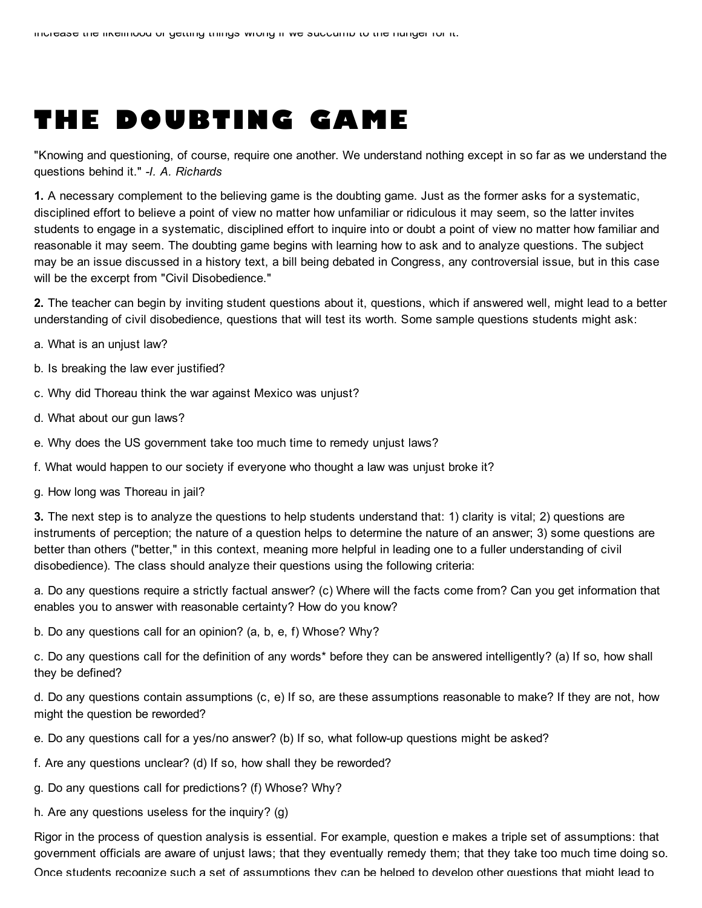## THE DOUBTING GAME

"Knowing and questioning, of course, require one another. We understand nothing except in so far as we understand the questions behind it." *-I. A. Richards*

1. A necessary complement to the believing game is the doubting game. Just as the former asks for a systematic, disciplined effort to believe a point of view no matter how unfamiliar or ridiculous it may seem, so the latter invites students to engage in a systematic, disciplined effort to inquire into or doubt a point of view no matter how familiar and reasonable it may seem. The doubting game begins with learning how to ask and to analyze questions. The subject may be an issue discussed in a history text, a bill being debated in Congress, any controversial issue, but in this case will be the excerpt from "Civil Disobedience."

2. The teacher can begin by inviting student questions about it, questions, which if answered well, might lead to a better understanding of civil disobedience, questions that will test its worth. Some sample questions students might ask:

- a. What is an unjust law?
- b. Is breaking the law ever justified?
- c. Why did Thoreau think the war against Mexico was unjust?
- d. What about our gun laws?
- e. Why does the US government take too much time to remedy unjust laws?
- f. What would happen to our society if everyone who thought a law was unjust broke it?
- g. How long was Thoreau in jail?

3. The next step is to analyze the questions to help students understand that: 1) clarity is vital; 2) questions are instruments of perception; the nature of a question helps to determine the nature of an answer; 3) some questions are better than others ("better," in this context, meaning more helpful in leading one to a fuller understanding of civil disobedience). The class should analyze their questions using the following criteria:

a. Do any questions require a strictly factual answer? (c) Where will the facts come from? Can you get information that enables you to answer with reasonable certainty? How do you know?

b. Do any questions call for an opinion? (a, b, e, f) Whose? Why?

c. Do any questions call for the definition of any words\* before they can be answered intelligently? (a) If so, how shall they be defined?

d. Do any questions contain assumptions (c, e) If so, are these assumptions reasonable to make? If they are not, how might the question be reworded?

- e. Do any questions call for a yes/no answer? (b) If so, what follow-up questions might be asked?
- f. Are any questions unclear? (d) If so, how shall they be reworded?
- g. Do any questions call for predictions? (f) Whose? Why?
- h. Are any questions useless for the inquiry? (g)

Rigor in the process of question analysis is essential. For example, question e makes a triple set of assumptions: that government officials are aware of unjust laws; that they eventually remedy them; that they take too much time doing so. Once students recognize such a set of assumptions they can be helped to develop other questions that might lead to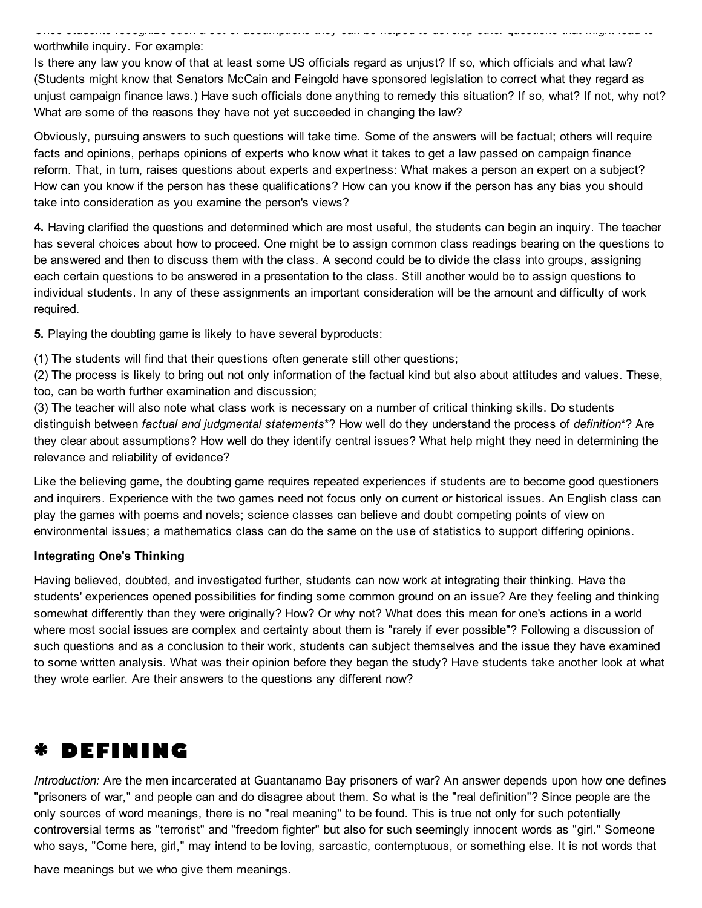worthwhile inquiry. For example:

Is there any law you know of that at least some US officials regard as unjust? If so, which officials and what law? (Students might know that Senators McCain and Feingold have sponsored legislation to correct what they regard as unjust campaign finance laws.) Have such officials done anything to remedy this situation? If so, what? If not, why not? What are some of the reasons they have not yet succeeded in changing the law?

Once students recognize such a set of assumptions they can be helped to develop other questions that might lead to

Obviously, pursuing answers to such questions will take time. Some of the answers will be factual; others will require facts and opinions, perhaps opinions of experts who know what it takes to get a law passed on campaign finance reform. That, in turn, raises questions about experts and expertness: What makes a person an expert on a subject? How can you know if the person has these qualifications? How can you know if the person has any bias you should take into consideration as you examine the person's views?

4. Having clarified the questions and determined which are most useful, the students can begin an inquiry. The teacher has several choices about how to proceed. One might be to assign common class readings bearing on the questions to be answered and then to discuss them with the class. A second could be to divide the class into groups, assigning each certain questions to be answered in a presentation to the class. Still another would be to assign questions to individual students. In any of these assignments an important consideration will be the amount and difficulty of work required.

5. Playing the doubting game is likely to have several byproducts:

(1) The students will find that their questions often generate still other questions;

(2) The process is likely to bring out not only information of the factual kind but also about attitudes and values. These, too, can be worth further examination and discussion;

(3) The teacher will also note what class work is necessary on a number of critical thinking skills. Do students distinguish between *factual and judgmental statements*\*? How well do they understand the process of *definition*\*? Are they clear about assumptions? How well do they identify central issues? What help might they need in determining the relevance and reliability of evidence?

Like the believing game, the doubting game requires repeated experiences if students are to become good questioners and inquirers. Experience with the two games need not focus only on current or historical issues. An English class can play the games with poems and novels; science classes can believe and doubt competing points of view on environmental issues; a mathematics class can do the same on the use of statistics to support differing opinions.

#### Integrating One's Thinking

Having believed, doubted, and investigated further, students can now work at integrating their thinking. Have the students' experiences opened possibilities for finding some common ground on an issue? Are they feeling and thinking somewhat differently than they were originally? How? Or why not? What does this mean for one's actions in a world where most social issues are complex and certainty about them is "rarely if ever possible"? Following a discussion of such questions and as a conclusion to their work, students can subject themselves and the issue they have examined to some written analysis. What was their opinion before they began the study? Have students take another look at what they wrote earlier. Are their answers to the questions any different now?

### \* DEFINING

*Introduction:* Are the men incarcerated at Guantanamo Bay prisoners of war? An answer depends upon how one defines "prisoners of war," and people can and do disagree about them. So what is the "real definition"? Since people are the only sources of word meanings, there is no "real meaning" to be found. This is true not only for such potentially controversial terms as "terrorist" and "freedom fighter" but also for such seemingly innocent words as "girl." Someone who says, "Come here, girl," may intend to be loving, sarcastic, contemptuous, or something else. It is not words that

have meanings but we who give them meanings.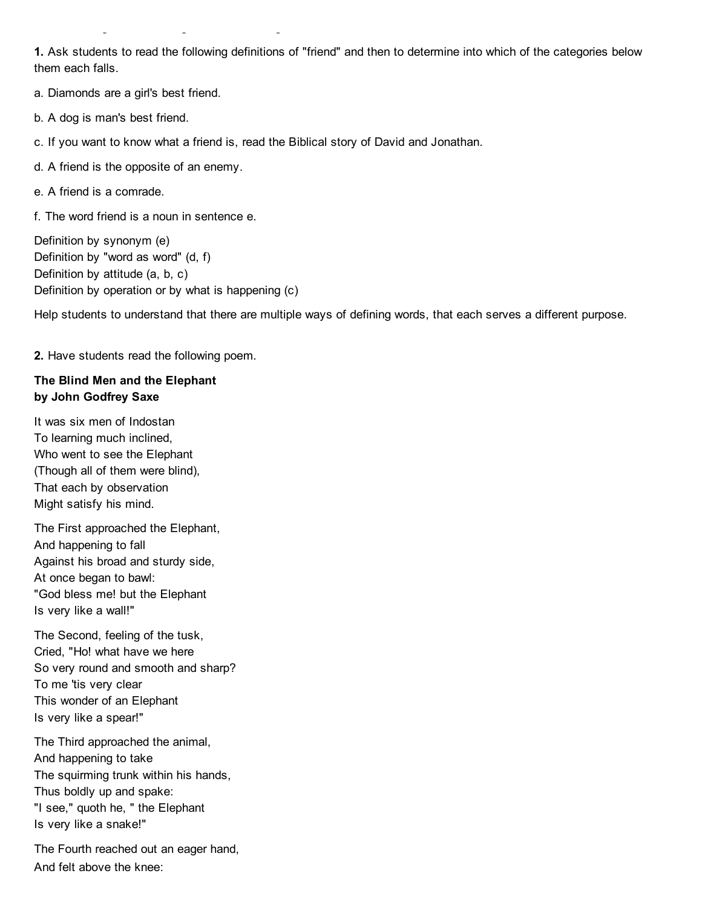1. Ask students to read the following definitions of "friend" and then to determine into which of the categories below them each falls.

a. Diamonds are a girl's best friend.

have meanings but we who give them meanings.

b. A dog is man's best friend.

c. If you want to know what a friend is, read the Biblical story of David and Jonathan.

d. A friend is the opposite of an enemy.

e. A friend is a comrade.

f. The word friend is a noun in sentence e.

Definition by synonym (e) Definition by "word as word" (d, f) Definition by attitude (a, b, c) Definition by operation or by what is happening (c)

Help students to understand that there are multiple ways of defining words, that each serves a different purpose.

2. Have students read the following poem.

#### The Blind Men and the Elephant by John Godfrey Saxe

It was six men of Indostan To learning much inclined, Who went to see the Elephant (Though all of them were blind), That each by observation Might satisfy his mind.

The First approached the Elephant, And happening to fall Against his broad and sturdy side, At once began to bawl: "God bless me! but the Elephant Is very like a wall!"

The Second, feeling of the tusk, Cried, "Ho! what have we here So very round and smooth and sharp? To me 'tis very clear This wonder of an Elephant Is very like a spear!"

The Third approached the animal, And happening to take The squirming trunk within his hands, Thus boldly up and spake: "I see," quoth he, " the Elephant Is very like a snake!"

The Fourth reached out an eager hand, And felt above the knee: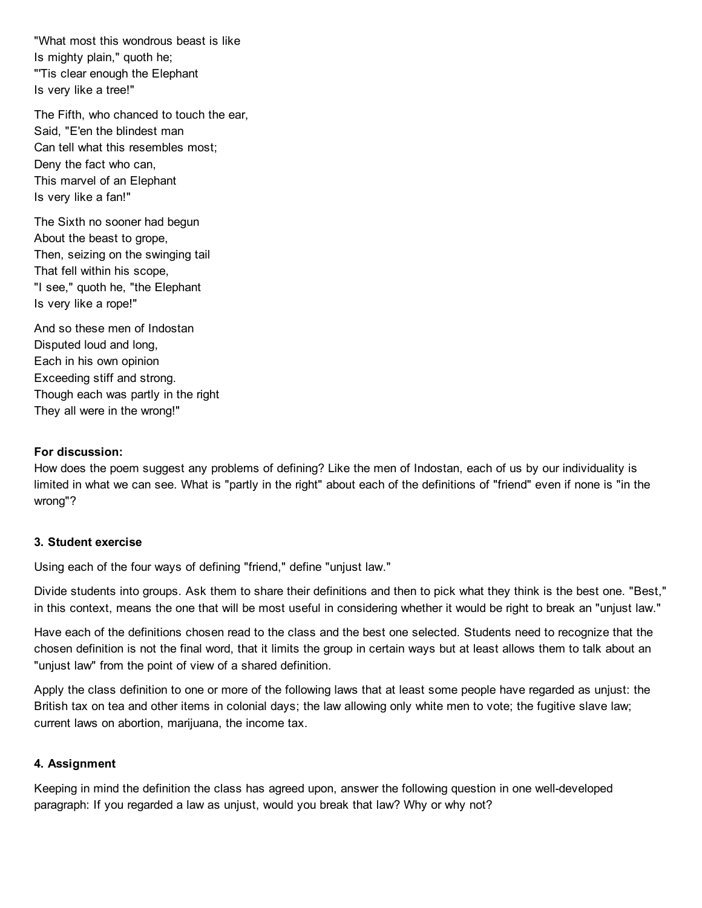"What most this wondrous beast is like Is mighty plain," quoth he; "'Tis clear enough the Elephant Is very like a tree!"

The Fifth, who chanced to touch the ear, Said, "E'en the blindest man Can tell what this resembles most; Deny the fact who can, This marvel of an Elephant Is very like a fan!"

The Sixth no sooner had begun About the beast to grope, Then, seizing on the swinging tail That fell within his scope, "I see," quoth he, "the Elephant Is very like a rope!"

And so these men of Indostan Disputed loud and long, Each in his own opinion Exceeding stiff and strong. Though each was partly in the right They all were in the wrong!"

#### For discussion:

How does the poem suggest any problems of defining? Like the men of Indostan, each of us by our individuality is limited in what we can see. What is "partly in the right" about each of the definitions of "friend" even if none is "in the wrong"?

#### 3. Student exercise

Using each of the four ways of defining "friend," define "unjust law."

Divide students into groups. Ask them to share their definitions and then to pick what they think is the best one. "Best," in this context, means the one that will be most useful in considering whether it would be right to break an "unjust law."

Have each of the definitions chosen read to the class and the best one selected. Students need to recognize that the chosen definition is not the final word, that it limits the group in certain ways but at least allows them to talk about an "unjust law" from the point of view of a shared definition.

Apply the class definition to one or more of the following laws that at least some people have regarded as unjust: the British tax on tea and other items in colonial days; the law allowing only white men to vote; the fugitive slave law; current laws on abortion, marijuana, the income tax.

#### 4. Assignment

Keeping in mind the definition the class has agreed upon, answer the following question in one well-developed paragraph: If you regarded a law as unjust, would you break that law? Why or why not?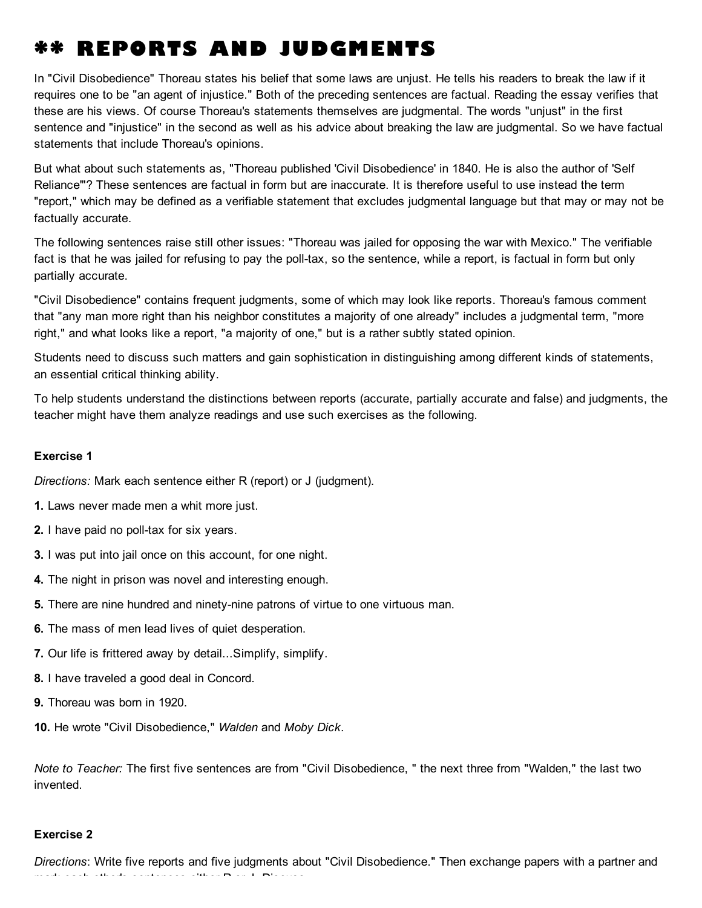## \*\* REPORTS AND JUDGMENTS

In "Civil Disobedience" Thoreau states his belief that some laws are unjust. He tells his readers to break the law if it requires one to be "an agent of injustice." Both of the preceding sentences are factual. Reading the essay verifies that these are his views. Of course Thoreau's statements themselves are judgmental. The words "unjust" in the first sentence and "injustice" in the second as well as his advice about breaking the law are judgmental. So we have factual statements that include Thoreau's opinions.

But what about such statements as, "Thoreau published 'Civil Disobedience' in 1840. He is also the author of 'Self Reliance'"? These sentences are factual in form but are inaccurate. It is therefore useful to use instead the term "report," which may be defined as a verifiable statement that excludes judgmental language but that may or may not be factually accurate.

The following sentences raise still other issues: "Thoreau was jailed for opposing the war with Mexico." The verifiable fact is that he was jailed for refusing to pay the poll-tax, so the sentence, while a report, is factual in form but only partially accurate.

"Civil Disobedience" contains frequent judgments, some of which may look like reports. Thoreau's famous comment that "any man more right than his neighbor constitutes a majority of one already" includes a judgmental term, "more right," and what looks like a report, "a majority of one," but is a rather subtly stated opinion.

Students need to discuss such matters and gain sophistication in distinguishing among different kinds of statements, an essential critical thinking ability.

To help students understand the distinctions between reports (accurate, partially accurate and false) and judgments, the teacher might have them analyze readings and use such exercises as the following.

#### Exercise 1

*Directions:* Mark each sentence either R (report) or J (judgment).

- 1. Laws never made men a whit more just.
- 2. I have paid no poll-tax for six years.
- 3. I was put into jail once on this account, for one night.
- 4. The night in prison was novel and interesting enough.
- 5. There are nine hundred and ninety-nine patrons of virtue to one virtuous man.
- 6. The mass of men lead lives of quiet desperation.
- 7. Our life is frittered away by detail...Simplify, simplify.
- 8. I have traveled a good deal in Concord.
- 9. Thoreau was born in 1920.
- 10. He wrote "Civil Disobedience," *Walden* and *Moby Dick*.

*Note to Teacher:* The first five sentences are from "Civil Disobedience, " the next three from "Walden," the last two invented.

#### Exercise 2

*Directions*: Write five reports and five judgments about "Civil Disobedience." Then exchange papers with a partner and mark each other's sentences either R or J. Discuss.